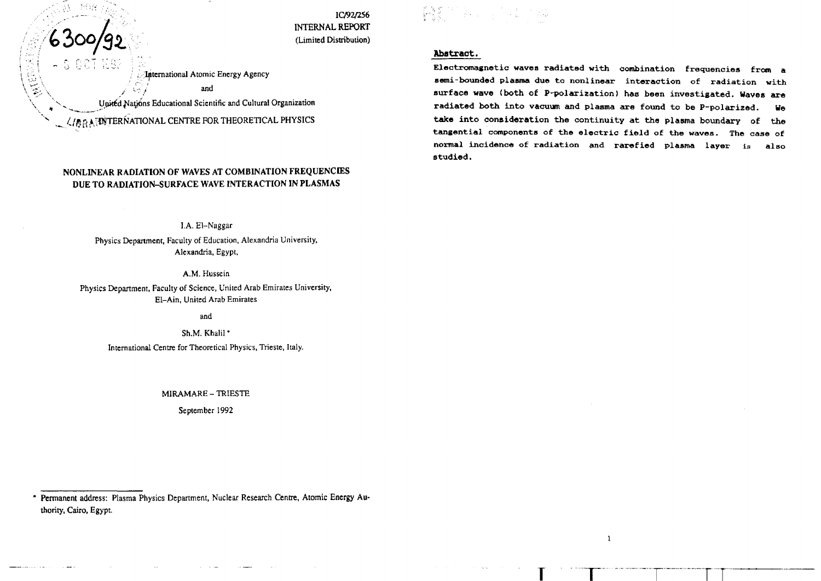IC/92/256 INTERNAL REPORT (Limited Distribution)

(MAMP) 100mm (Second) 100mm (Second)<br>방원한 100mm (Second) 100mm (Second)

# **Abstract.**

**Electromagnetic waves radiated with combination frequencies from a semi-bounded plasma due to noniinear interaction of radiation with surface wave (both of P-polarization) has been investigated. Waves are radiated both into vacuum and plasma are found to be P-polarized. We take into consideration the continuity at the plasma boundary of the tangential components of the electric field of the waves. The case of normal incidence of radiation and rarefied plaama layer is also studied.**

**<sup>T</sup> r TT**

 $\mathbf{1}$ 

# and United Nations Educational Scientific and Cultural Organization  $\langle$ / $\partial$  $\partial$  $\partial$  $\partial$  WTERNATIONAL CENTRE FOR THEORETICAL PHYSICS

v

X

International Atomic Energy Agency

**NONLINEAR RADIATION OF WAVES AT COMBINATION FREQUENCIES DUE TO RADIATION-SURFACE WAVE INTERACTION IN PLASMAS**

> I.A. El-Naggar Physics Department, Faculty of Education, Alexandria University, Alexandria, Egypt,

> > A.M. Hussein

Physics Department, Faculty of Science, United Arab Emirates University, El-Ain, United Arab Emirates

and

Sh.M. Khalil \* International Centre for Theoretical Physics, Trieste, Italy.

MIRAMARE - TRIESTE

September 1992

<sup>•</sup> Permanent address: Plasma Physics Department, Nuclear Research Centre, Atomic Energy Authority, Cairo, Egypt.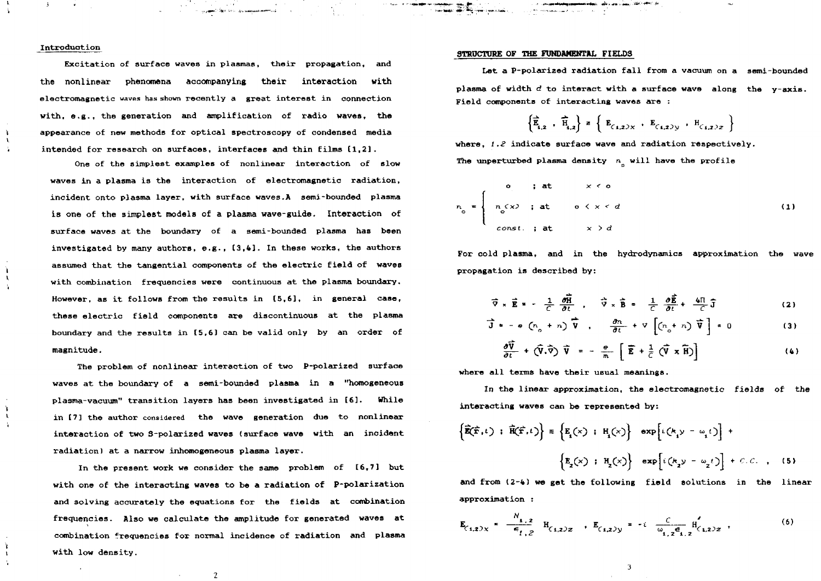### Introduation

 $\mathbf{r}$ 

 $\mathbf{I}$ 

 $\mathbf{L}$ 

Excitation of surface waves in plasmas, their propagation, and **the nonlinear phenomena accompanying their interaction with** electromagnetic waves has shown recently a great interest in connection with, e.g., the generation and amplification of radio waves, the appearance of new methods for optical spectroscopy of condensed media intended for research on surfaces, interfaces and thin films [1,2].

One of the simplest examples of nonlinear interaction of slow waves in a plasma is the interaction of electromagnetic radiation, incident onto plasma layer, with surface waves.A semi-bounded plasma is one of the simplest models of a plasma wave-guide. Interaction of surface waves at the boundary of a semi-bounded plasma has been investigated by many authors, e.g., [3,4]. In these works, the authors assumed that the tangential components of the electric field of waves with combination frequencies were continuous at the plasma boundary. However, as it follows from the results in [5,6], in general case, these electric field components are discontinuous at the plasma boundary and the results in [5,6] can be valid only by an order of magnitude.

The problem of nonlinear interaction of two P-polarized surface waves at the boundary of a semi-bounded plasma in a "homogeneous plasma-vacuum" transition layers has been investigated in [6]. While in [7] the author considered the wave generation due to nonlinear interaction of two 3-polarized waves (surface wave with an incident radiation) at a narrow inhomogeneous plasma layer.

In the present work we consider the same problem of [6,7] but with one of the interacting waves to be a radiation of P-polarization and solving accurately the equations for the fields at combination frequencies. Also we calculate the amplitude for generated waves at combination frequencies for normal incidence of radiation and plasma with low density.

 $\mathbf{2}$ 

### **STRUCTURE** OF **THE FUNDAMENTAL** FIELD3

Let a P-polarized radiation fall from a vacuum on a semi-bounded plasma of width  $d$  to interact with a surface wave along the y-axis. Field components of interacting waves are :

$$
\left\{ \frac{1}{E_{1,2}} , \frac{1}{H_{1,2}} \right\} = \left\{ E_{(1,2)} \times , E_{(1,2)} \times , H_{(1,2)2} \right\}
$$

where,  $1.2$  indicate surface wave and radiation respectively. The unperturbed plasma density  $n<sub>n</sub>$  will have the profile

$$
n_0 = \begin{cases}\n0 & ; \text{ at } x < 0 \\
n_0 & ; \text{ at } 0 \le x < d \\
\text{const. } ; \text{ at } x > d\n\end{cases}
$$
\n(1)

For cold plasma, and in the hydrodynamics approximation the wave propagation is described by:

$$
\vec{\nabla} \times \vec{E} = -\frac{1}{C} \frac{\partial \vec{R}}{\partial t} , \quad \vec{\nabla} \times \vec{B} = \frac{1}{C} \frac{\partial \vec{E}}{\partial t} + \frac{4\pi}{C} \vec{J}
$$
 (2)

$$
\vec{J} = -e \left( n_o + n \right) \vec{V} , \quad \frac{\partial n}{\partial t} + \nabla \left[ \left( n_o + n \right) \vec{V} \right] = 0 \tag{3}
$$

$$
\frac{\partial \overline{\mathbf{V}}}{\partial t} + (\hat{\mathbf{V}}, \hat{\overline{\mathbf{V}}}) \overline{\mathbf{V}} = -\frac{\mathbf{e}}{m} \left[ \overline{\mathbf{E}} + \frac{1}{C} (\overline{\mathbf{V}} \times \overline{\mathbf{H}}) \right]
$$
(4)

**where all terms have their usual meanings.**

**In the linear approximation, the electxomagnetic fields of the interacting waves can be represented by:**

$$
\left\{\mathbf{\vec{E}}(\mathbf{\vec{r}},t) : \mathbf{\vec{H}}(\mathbf{\vec{r}},t)\right\} \equiv \left\{\mathbf{E}_{i}(x) : \mathbf{H}_{i}(x)\right\} \exp\left[i\left(k_{i}y - \omega_{i}t\right)\right] + \left\{\mathbf{E}_{i}(x) : \mathbf{H}_{i}(x)\right\} \exp\left[i\left(k_{i}y - \omega_{i}t\right)\right] + C.C. \quad (5)
$$

**and from (2-4) we get the following field solutions in the linear approximation :**

$$
\mathbf{E}_{(1,2)X} = \frac{N_{1,2}}{\epsilon_{1,2}} \mathbf{H}_{(1,2)Z} \cdot \mathbf{E}_{(1,2)Y} = -i \frac{C}{\omega_{1,2}\epsilon_{1,2}} \mathbf{H}_{(1,2)Z} \tag{6}
$$

 $\overline{3}$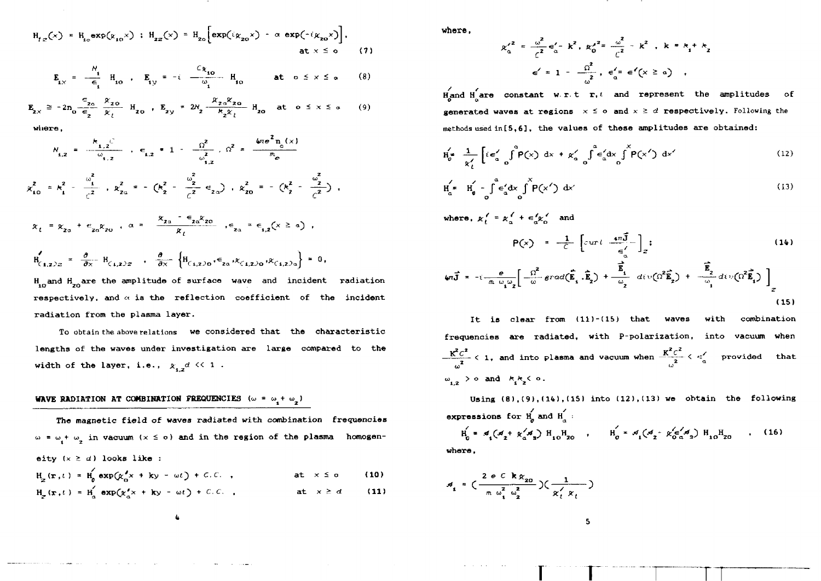$$
H_{1z}(x) = H_{1z} \exp(\kappa_{10} x) : H_{2z}(x) = H_{2z} \left[ \exp(i\kappa_{20} x) - \alpha \exp(-i\kappa_{20} x) \right],
$$
  
at  $x \le 0$  (7)

$$
\mathbf{E}_{1x} = -\frac{N_1}{\epsilon_1} \mathbf{H}_{10} , \quad \mathbf{E}_{1y} = -i \frac{C_{R_{10}}}{\omega_1} \mathbf{H}_{10} \quad \text{at } \mathbf{0} \le x \le \mathbf{0} \tag{8}
$$

$$
\mathbf{E}_{2x} \ge -2n_0 \frac{\epsilon_{z_0}}{\epsilon_2} \frac{\mathcal{R}_{z_0}}{\mathcal{R}_t} \mathbf{H}_{z_0} , \mathbf{E}_{z_0} * 2\mathcal{N}_z \frac{\mathcal{R}_{z_0} \mathcal{R}_{z_0}}{\mathcal{R}_z \mathcal{R}_t} \mathbf{H}_{z_0} \text{ at } 0 \le x \le a \qquad (9)
$$

**where,**

$$
N_{1,2} = \frac{k_{1,2}C}{\omega_{1,2}} , \epsilon_{1,2} = 1 - \frac{\Omega^2}{\omega_{1,2}^2}, \Omega^2 = \frac{4\pi e^2 n_o(x)}{m_e}
$$
  

$$
\chi_{10}^2 = k_1^2 - \frac{\omega_1^2}{\zeta^2} , k_{2\alpha}^2 = - (k_2^2 - \frac{\omega_2^2}{\zeta^2} \epsilon_{2\alpha}) , k_{20}^2 = - (k_2^2 - \frac{\omega_2^2}{\zeta^2}) ,
$$
  

$$
x_t = x_{2\alpha} + \epsilon_{2\alpha} x_{2\alpha} , \alpha = \frac{x_{2\alpha} - \epsilon_{2\alpha} x_{2\alpha}}{x}, \epsilon_{2\alpha} = \epsilon_{1,2} (x \ge \alpha) ,
$$

$$
\mathbf{H}_{(1,2,2)} = \frac{\partial}{\partial x} \mathbf{H}_{(1,2,2)} \cdot \frac{\partial}{\partial x} \left\{ \mathbf{H}_{(1,2,2)} \cdot \mathbf{H}_{(1,2,2)} \cdot \mathbf{H}_{(1,2,2)} \cdot \mathbf{H}_{(1,2,2)} \cdot \mathbf{H}_{(1,2,2)} \right\} = 0
$$

 $H_{10}$ and  $H_{20}$ are the amplitude of surface wave and incident radiation respectively, and  $\alpha$  is the reflection coefficient of the incident radiation from the plasma layer.

To obtain the above relations we considered that the characteristic lengths of the waves under investigation are large compared to the width of the layer, i.e.,  $x_{1,2}d \ll 1$ .

# WAVE RADIATION AT COMBINATION FREQUENCIES  $(\omega = \omega_1 + \omega_2)$

The magnetic field of waves radiated with combination frequencies  $\omega = \omega + \omega$ , in vacuum (x  $\leq$  o) and in the region of the plasma homogeneity  $(x \ge d)$  looks like :

$$
H_{\underline{z}}(x,t) = H_{0}^{'} \exp(\chi_{0}^{'} x + ky - \omega t) + C.C. , \qquad \text{at } x \leq \sigma \qquad (10)
$$
  

$$
H_{\underline{z}}(x,t) = H_{0}^{'} \exp(\chi_{0}^{'} x + ky - \omega t) + C.C. , \qquad \text{at } x \geq d \qquad (11)
$$

**where,**

$$
x'^{2} = \frac{\omega^{2}}{\zeta^{2}} \epsilon'_{a} - k^{2}, \ \kappa_{0}'^{2} = \frac{\omega^{2}}{\zeta^{2}} - k^{2}, \ k = k_{1} + k_{2}
$$

$$
\epsilon' = 1 - \frac{\Omega^{2}}{\omega^{2}}, \ \epsilon'_{a} = \epsilon'(x \geq a) ,
$$

 $H_{\rm{qand}}$   $H_{\rm{qare}}'$  constant w.r.t  $r$ , and represent the amplitudes of **generated waves at regions**  $x \leq o$  and  $x \geq d$  respectively. Following the methods used in**15**,**6], the values of these amplitudes are obtained:**

$$
\mathbf{H}_{o}^{\prime} = \frac{1}{\kappa_{t}^{\prime}} \left[ i \epsilon_{a}^{\prime} \int_{0}^{\alpha} \mathbf{P}(\mathbf{x}) dx + \kappa_{a}^{\prime} \int_{0}^{\alpha} \epsilon_{a}^{\prime} dx \int_{0}^{\alpha} \mathbf{P}(\mathbf{x}^{\prime}) dx^{\prime} \right]
$$
 (12)

$$
H_a^{\prime *} = H_0^{\prime} - \int_0^a \epsilon_a^{\prime} dx \int_0^x P(x^{\prime}) dx^{\prime}
$$
 (13)

where, 
$$
\kappa_t^{\prime} = \kappa_a^{\prime} + \epsilon_a^{\prime} \kappa_b^{\prime}
$$
 and  
\n
$$
P(x) = \frac{1}{\epsilon} \left[ curl \frac{4\pi \vec{J}}{\epsilon_a^{\prime}} \right];
$$
\n
$$
\omega_t \vec{J} = -i \frac{e}{\pi \omega_b \omega_z} \left[ \frac{\Omega^2}{\omega} grad(\vec{E}_1 \cdot \vec{E}_2) + \frac{\vec{E}_1}{\omega_z} div(\Omega^2 \vec{E}_2) + \frac{\vec{E}_2}{\omega_1} div(\Omega^2 \vec{E}_1) \right]_z
$$
\n(15)

It is clear from (11)-(15) that waves with combination frequencies are radiated, with P-polarization, into vacuum when  $-\frac{K^2c^2}{2} < 1$ , and into plasma and vacuum when  $-\frac{K^2c^2}{2} < \epsilon$  provided that  $\omega_{1,2}$  > o and  $k_1k_2$ < o.

Using  $(8)$ , $(9)$ , $(14)$ , $(15)$  into  $(12)$ , $(13)$  we obtain the following expressions for  $H_{\alpha}$  and  $H_{\alpha}$ :  $H_0 = \mathcal{A}_1(\mathcal{A}_2 + \chi'_0 \mathcal{A}_3) H_{10} H_{20}$ ,  $H_0 = \mathcal{A}_1(\mathcal{A}_2 - \chi'_0 \frac{\epsilon'_0 \mathcal{A}_3}{\alpha_3}) H_{10} H_{20}$ , (16)

**r r 1—T**

where,

- 4

$$
s_{\mathbf{1}} = \left( \frac{2 \cdot e^{-\mathbf{C}} \cdot \mathbf{k} \cdot \mathbf{x}_{20}}{m \omega_{\mathbf{1}}^2 \omega_{\mathbf{2}}^2} \right) \left( \frac{1}{\mathbf{x}_t' \cdot \mathbf{x}_t} \right)
$$

 $\overline{\mathbf{5}}$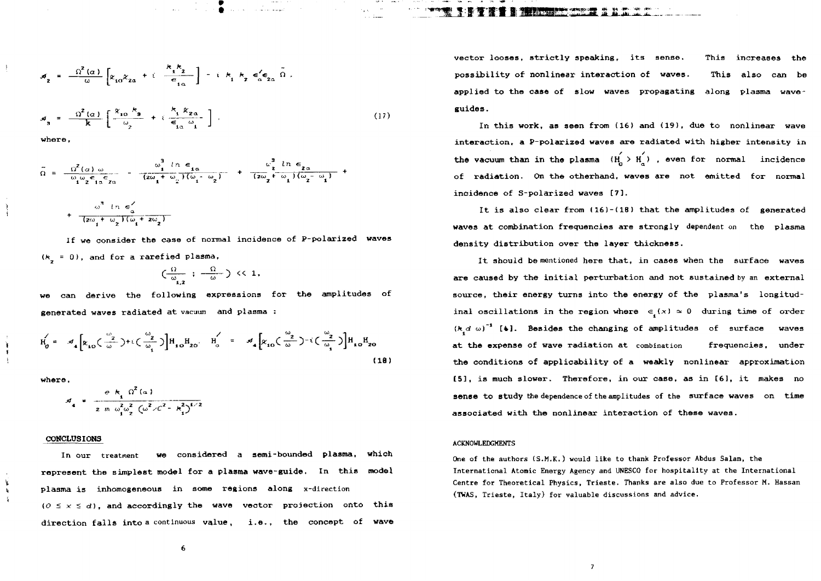$$
\mathcal{A}_{2} = \frac{\Omega^{2}(\alpha)}{\omega} \left[ \kappa_{10} \kappa_{2\alpha} + i \frac{\kappa_{1} \kappa_{2}}{\epsilon_{1\alpha}} \right] - i \kappa_{1} \kappa_{2} \epsilon_{\alpha}^{\prime} \epsilon_{2\alpha} \tilde{\Omega} ,
$$

 $a_3 = \frac{\Omega^2(a)}{k} \left[ \frac{x_{10} k_3}{\omega_2} + i \frac{k_1 k_{20}}{\epsilon_1 \omega_1} \right]$ (17)

where,

 $\ddot{\phantom{1}}$ 

$$
\widetilde{\Omega} = \frac{\Omega^2(\alpha) \omega}{\omega_1 \omega_2 \epsilon_{1\alpha} \epsilon_{2\alpha}} - \frac{\omega_1^3 \ln \epsilon_{1\alpha}}{(2\omega_1 + \omega_2)(\omega_1 - \omega_2)} + \frac{\omega_2^3 \ln \epsilon_{2\alpha}}{(2\omega_2 + \omega_1)(\omega_2 - \omega_1)} + \frac{\omega_1^3 \ln \epsilon_{2\alpha}}{(2\omega_2 + \omega_1)(\omega_2 - \omega_1)}
$$

$$
(z\omega_1 + \omega_2)(\omega_1 + z\omega_2)
$$
  
If we consider the case of normal incidence of P-polarized waves  
( $k_1 = 0$ ), and for a rarefied plasma,

$$
(\tfrac{\Omega}{\omega_{_{1,2}}}: \tfrac{\Omega}{-\omega_{_{\!}}})\ll 1,
$$

can derive the following expressions for the amplitudes of generated waves radiated at vacuum and plasma :

$$
H_0' = \mathcal{A}_4 \left[ x_{10} \left( \frac{\omega_2}{\omega} \right) + i \left( \frac{\omega_2}{\omega_1} \right) \right] H_{10} H_{20} \qquad H_0' = \mathcal{A}_4 \left[ x_{10} \left( \frac{\omega_2}{\omega} \right) - i \left( \frac{\omega_2}{\omega_1} \right) \right] H_{10} H_{20}
$$
\n(18)

where,

×.

 $\mathbf{k}$  $\mathbf{V}$ 

$$
d_4 = \frac{e k_1 \Omega^2 (a)}{2 m \omega_1^2 \omega_2^2 (\omega^2/c^2 - k_1^2)^{1/2}}
$$

### **CONCLUSIONS**

In our treatment **we considered a semi-bounded plasma, which represent the simplest model for a plasma wave-guide. In this model plasma is inhomogeneous in some regions along** x-direction  $(0 \le x \le d)$ , and accordingly the wave vector projection onto this **direction falls into** a continuous **value , i.e. , the concept of wave**

vector looses, strictly speaking, its sense. This increases the possibility of nonlinear interaction of waves. This also can be applied to the case of slow waves propagating along plasma waveguides.

In this work, as seen from (16) and (19), due to nonlinear wave interaction, a P-polarized waves are radiated with higher intensity in the vacuum than in the plasma  $(H_1 > H_2)$ , even for normal incidence O a. **of radiation. On the otherhand, waves are not emitted for normal** incidence of S-polarized waves [7].

**incidence of S-polarized waves [7]. It is also clear from (16)-(18) that the amplitudes of generated waves at combination frequencies are strongly dependent on** the **plasma density distribution over the layer thickness.**

**are caused by the initia l perturbation and not sustained by** an **external source, their energy turns into the energy of the plasma's longitudinal oscillations in the region where <= (x) =\* 0 during time of** order  $(k_d \omega)^{-1}$  [4]. Besides the changing of amplitudes of surface waves **at the expense of wave radiation at** combination frequencies, **under the conditions of applicability of a weakly nonlinear approximation [5], is much slower. Therefore, in our case, a3 in [61, it makes no sense to study** the dependence of the amplitudes of the **surface waves on time** associated with the nonlinear interaction of these waves.

#### ACKNOWLEDGMENTS

One of the authors (S.M.K.) would like to thank Professor Abdus Salam, the International Atomic Energy Agency and UNESCO for hospitality at the International Centre for Theoretical Physics, Trieste, Thanks are also due to Professor M. Hassan (TWAS, Trieste, Italy) for valuable discussions and advice.

6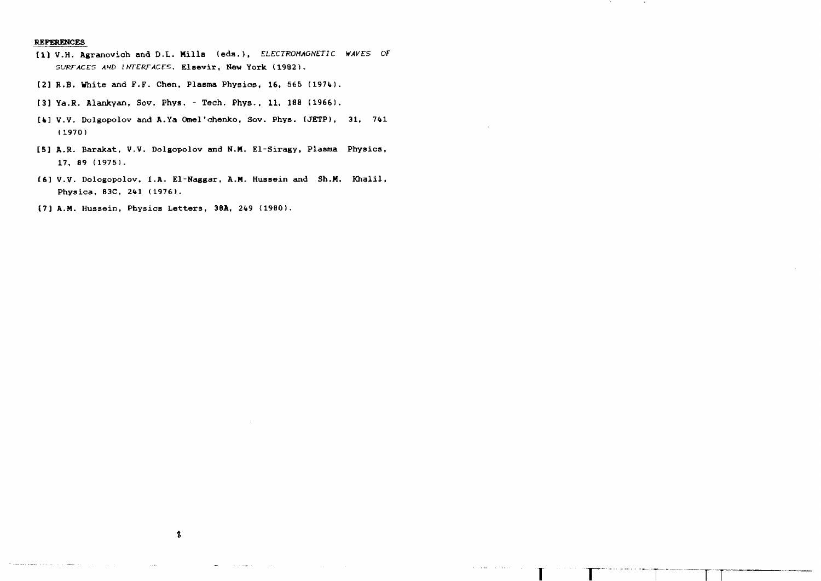## REFERENCES

- tl] V.H. Agranovich and D.L. Mills (eda.), ELECTROMAGNETIC WAVES OF SURFACES AND INTERFACES, Elsevir, New York (1982).
- [2] R.B. White and F.F. Chen, Plasma Physics, 16, 565 (1974).
- t3] Ya.R. Alankyan, Sov. Phya. Tech. Phys., 11, 188 (1966).
- [4] V.V. Dolgopolov and A.Ya Omel'chenko, Sov. Phys. (JETP), 31, 741 (1970)
- [5] A.R. Barakat, V.V. Dolgopolov and N.M. El-Siragy, Plasma Physics, 17, 89 (1975).
- [6] V.V. Dologopolov, I.A. El-Naggar, A.M. Hussein and Sh.M. Khalil, Physica, B3C, 241 (1976).
- [7] A.M. Hussein, Physics Letters, 38A, 249 <19B0).

**T** • r **T**